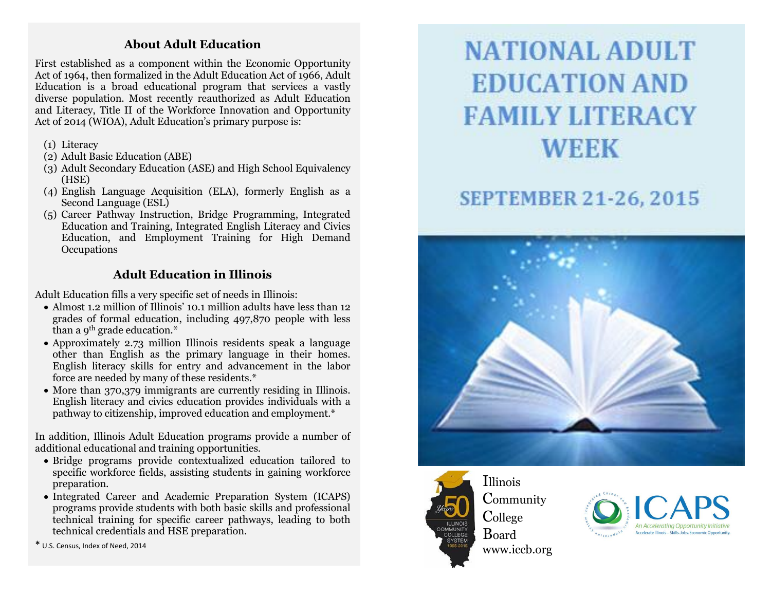#### **About Adult Education**

First established as a component within the Economic Opportunity Act of 1964, then formalized in the Adult Education Act of 1966, Adult Education is a broad educational program that services a vastly diverse population. Most recently reauthorized as Adult Education and Literacy, Title II of the Workforce Innovation and Opportunity Act of 2014 (WIOA), Adult Education 's primary purpose is:

- (1) Literacy
- (2) Adult Basic Education (ABE)
- (3) Adult Secondary Education (ASE) and High School Equivalency (HSE)
- (4) English Language Acquisition (ELA), formerly English as a Second Language (ESL)
- (5) Career Pathway Instruction, Bridge Programming, Integrated Education and Training, Integrated English Literacy and Civics Education, and Employment Training for High Demand **Occupations**

### **Adult Education in Illinois**

Adult Education fills a very specific set of needs in Illinois:

- Almost 1.2 million of Illinois' 10.1 million adults have less than 12 grades of formal education, including 497,870 people with less than a 9th grade education.\*
- Approximately 2.73 million Illinois residents speak a language other than English as the primary language in their homes. English literacy skills for entry and advancement in the labor force are needed by many of these residents.\*
- More than 370,379 immigrants are currently residing in Illinois. English literacy and civics education provides individuals with a pathway to citizenship, improved education and employment.\*

In addition, Illinois Adult Education programs provide a number of additional educational and training opportunities.

- Bridge programs provide contextualized education tailored to specific workforce fields, assisting students in gaining workforce preparation.
- Integrated Career and Academic Preparation System (ICAPS) programs provide students with both basic skills and professional technical training for specific career pathways, leading to both technical credentials and HSE preparation.

\* U.S. Census, Index of Need, 2014

# **NATIONAL ADULT EDUCATION AND FAMILY LITERACY WEEK**

## **SEPTEMBER 21-26, 2015**





Illinois Community College Board www.iccb.org